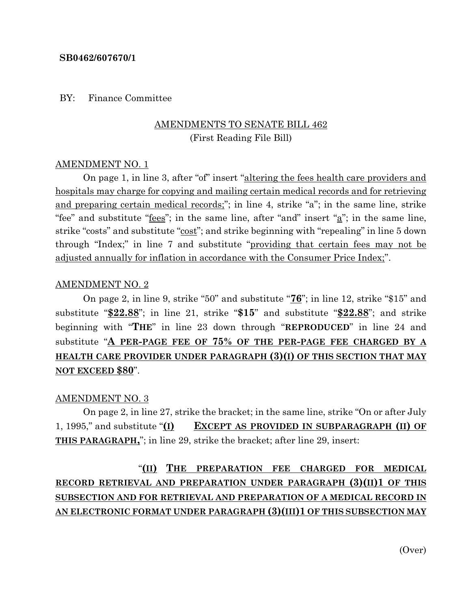#### **SB0462/607670/1**

BY: Finance Committee

## AMENDMENTS TO SENATE BILL 462 (First Reading File Bill)

#### AMENDMENT NO. 1

On page 1, in line 3, after "of" insert "altering the fees health care providers and hospitals may charge for copying and mailing certain medical records and for retrieving and preparing certain medical records;"; in line 4, strike "a"; in the same line, strike "fee" and substitute " $f$ <u>ees</u>"; in the same line, after "and" insert " $a$ "; in the same line, strike "costs" and substitute "cost"; and strike beginning with "repealing" in line 5 down through "Index;" in line 7 and substitute "providing that certain fees may not be adjusted annually for inflation in accordance with the Consumer Price Index;".

#### AMENDMENT NO. 2

On page 2, in line 9, strike "50" and substitute "**76**"; in line 12, strike "\$15" and substitute "**\$22.88**"; in line 21, strike "**\$15**" and substitute "**\$22.88**"; and strike beginning with "**THE**" in line 23 down through "**REPRODUCED**" in line 24 and substitute "**A PER-PAGE FEE OF 75% OF THE PER-PAGE FEE CHARGED BY A HEALTH CARE PROVIDER UNDER PARAGRAPH (3)(I) OF THIS SECTION THAT MAY NOT EXCEED \$80**".

#### AMENDMENT NO. 3

On page 2, in line 27, strike the bracket; in the same line, strike "On or after July 1, 1995," and substitute "**(I) EXCEPT AS PROVIDED IN SUBPARAGRAPH (II) OF THIS PARAGRAPH,**"; in line 29, strike the bracket; after line 29, insert:

# "**(II) THE PREPARATION FEE CHARGED FOR MEDICAL RECORD RETRIEVAL AND PREPARATION UNDER PARAGRAPH (3)(II)1 OF THIS SUBSECTION AND FOR RETRIEVAL AND PREPARATION OF A MEDICAL RECORD IN AN ELECTRONIC FORMAT UNDER PARAGRAPH (3)(III)1 OF THIS SUBSECTION MAY**

(Over)